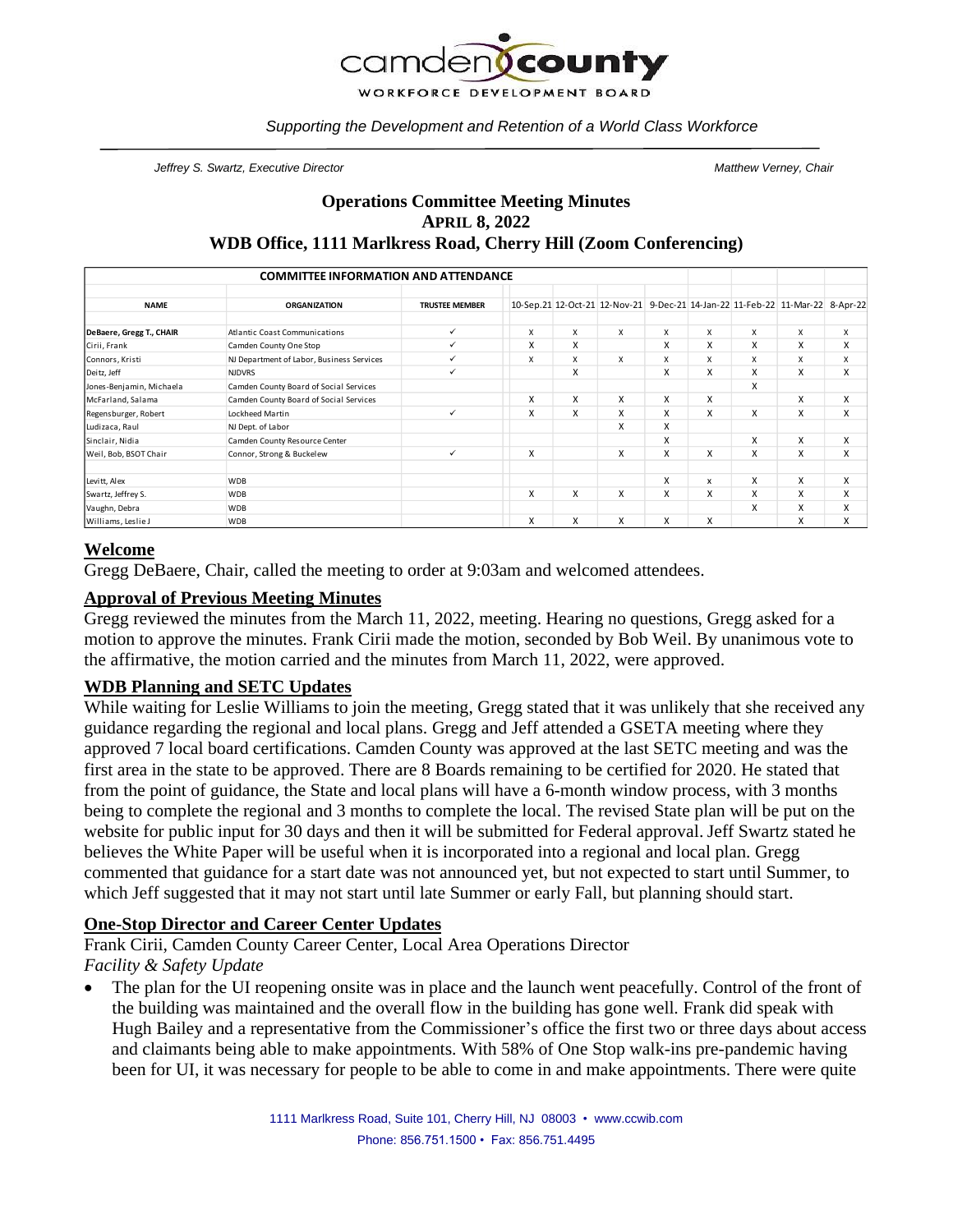

*Supporting the Development and Retention of a World Class Workforce*

*Jeffrey S. Swartz, Executive Director Matthew Verney, Chair*

### **Operations Committee Meeting Minutes APRIL 8, 2022 WDB Office, 1111 Marlkress Road, Cherry Hill (Zoom Conferencing)**

|                          | <b>COMMITTEE INFORMATION AND ATTENDANCE</b> |                       |   |   |                                                                               |   |   |   |   |   |
|--------------------------|---------------------------------------------|-----------------------|---|---|-------------------------------------------------------------------------------|---|---|---|---|---|
| <b>NAME</b>              | <b>ORGANIZATION</b>                         | <b>TRUSTEE MEMBER</b> |   |   | 10-Sep.21 12-Oct-21 12-Nov-21 9-Dec-21 14-Jan-22 11-Feb-22 11-Mar-22 8-Apr-22 |   |   |   |   |   |
| DeBaere, Gregg T., CHAIR | Atlantic Coast Communications               | ✓                     | X | X | X                                                                             | X | X | X | X | X |
| Cirii, Frank             | Camden County One Stop                      | ✓                     | X | X |                                                                               | X | X | X | x | X |
| Connors, Kristi          | NJ Department of Labor, Business Services   | ✓                     | X | X | X                                                                             | X | X | X | X | X |
| Deitz, Jeff              | <b>NJDVRS</b>                               | ✓                     |   | X |                                                                               | X | X | X | X | X |
| Jones-Benjamin, Michaela | Camden County Board of Social Services      |                       |   |   |                                                                               |   |   | X |   |   |
| McFarland, Salama        | Camden County Board of Social Services      |                       | X | X | X                                                                             | X | X |   | x | X |
| Regensburger, Robert     | Lockheed Martin                             | ✓                     | X | X | X                                                                             | X | X | X | X | X |
| Ludizaca, Raul           | NJ Dept. of Labor                           |                       |   |   | X                                                                             | X |   |   |   |   |
| Sinclair, Nidia          | Camden County Resource Center               |                       |   |   |                                                                               | X |   | X | X | X |
| Weil, Bob, BSOT Chair    | Connor, Strong & Buckelew                   | ✓                     | X |   | X                                                                             | X | X | X | X | X |
| Levitt, Alex             | <b>WDB</b>                                  |                       |   |   |                                                                               | X | x | X | x | X |
| Swartz, Jeffrey S.       | <b>WDB</b>                                  |                       | X | X | X                                                                             | X | X | X | x | X |
| Vaughn, Debra            | <b>WDB</b>                                  |                       |   |   |                                                                               |   |   | X | X | X |
| Williams, Leslie J       | <b>WDB</b>                                  |                       | X | X | X                                                                             | X | X |   | x | X |

#### **Welcome**

Gregg DeBaere, Chair, called the meeting to order at 9:03am and welcomed attendees.

#### **Approval of Previous Meeting Minutes**

Gregg reviewed the minutes from the March 11, 2022, meeting. Hearing no questions, Gregg asked for a motion to approve the minutes. Frank Cirii made the motion, seconded by Bob Weil. By unanimous vote to the affirmative, the motion carried and the minutes from March 11, 2022, were approved.

#### **WDB Planning and SETC Updates**

While waiting for Leslie Williams to join the meeting, Gregg stated that it was unlikely that she received any guidance regarding the regional and local plans. Gregg and Jeff attended a GSETA meeting where they approved 7 local board certifications. Camden County was approved at the last SETC meeting and was the first area in the state to be approved. There are 8 Boards remaining to be certified for 2020. He stated that from the point of guidance, the State and local plans will have a 6-month window process, with 3 months being to complete the regional and 3 months to complete the local. The revised State plan will be put on the website for public input for 30 days and then it will be submitted for Federal approval. Jeff Swartz stated he believes the White Paper will be useful when it is incorporated into a regional and local plan. Gregg commented that guidance for a start date was not announced yet, but not expected to start until Summer, to which Jeff suggested that it may not start until late Summer or early Fall, but planning should start.

# **One-Stop Director and Career Center Updates**

Frank Cirii, Camden County Career Center, Local Area Operations Director *Facility & Safety Update*

The plan for the UI reopening onsite was in place and the launch went peacefully. Control of the front of the building was maintained and the overall flow in the building has gone well. Frank did speak with Hugh Bailey and a representative from the Commissioner's office the first two or three days about access and claimants being able to make appointments. With 58% of One Stop walk-ins pre-pandemic having been for UI, it was necessary for people to be able to come in and make appointments. There were quite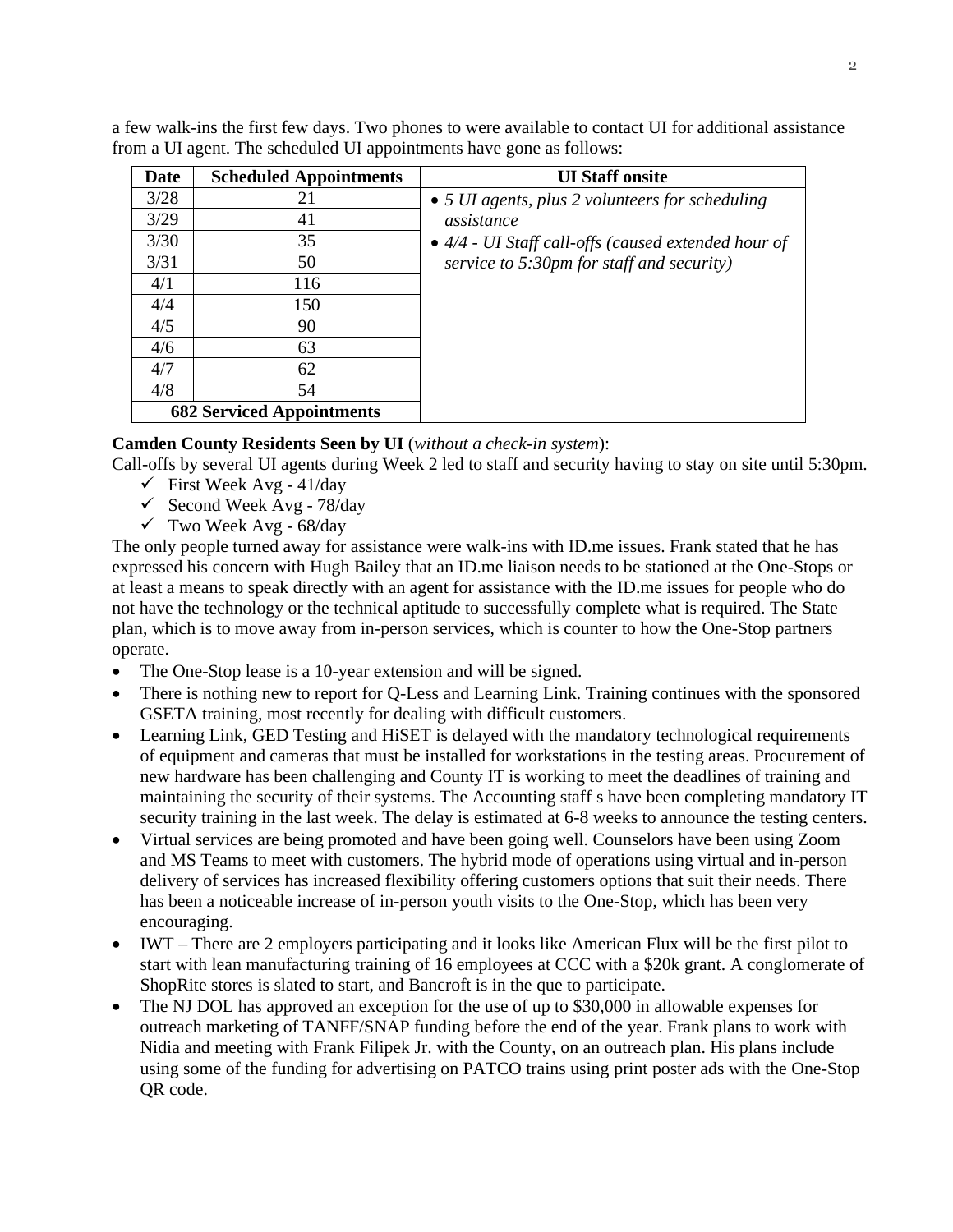| Date | <b>Scheduled Appointments</b>    | <b>UI Staff onsite</b>                                      |
|------|----------------------------------|-------------------------------------------------------------|
| 3/28 | 21                               | • 5 <i>UI</i> agents, plus 2 volunteers for scheduling      |
| 3/29 | 41                               | assistance                                                  |
| 3/30 | 35                               | $\bullet$ 4/4 - UI Staff call-offs (caused extended hour of |
| 3/31 | 50                               | service to 5:30pm for staff and security)                   |
| 4/1  | 116                              |                                                             |
| 4/4  | 150                              |                                                             |
| 4/5  | 90                               |                                                             |
| 4/6  | 63                               |                                                             |
| 4/7  | 62                               |                                                             |
| 4/8  | 54                               |                                                             |
|      | <b>682 Serviced Appointments</b> |                                                             |

a few walk-ins the first few days. Two phones to were available to contact UI for additional assistance from a UI agent. The scheduled UI appointments have gone as follows:

# **Camden County Residents Seen by UI** (*without a check-in system*):

Call-offs by several UI agents during Week 2 led to staff and security having to stay on site until 5:30pm.

- $\checkmark$  First Week Avg 41/day
- $\checkmark$  Second Week Avg 78/day
- $\checkmark$  Two Week Avg 68/day

The only people turned away for assistance were walk-ins with ID.me issues. Frank stated that he has expressed his concern with Hugh Bailey that an ID.me liaison needs to be stationed at the One-Stops or at least a means to speak directly with an agent for assistance with the ID.me issues for people who do not have the technology or the technical aptitude to successfully complete what is required. The State plan, which is to move away from in-person services, which is counter to how the One-Stop partners operate.

- The One-Stop lease is a 10-year extension and will be signed.
- There is nothing new to report for Q-Less and Learning Link. Training continues with the sponsored GSETA training, most recently for dealing with difficult customers.
- Learning Link, GED Testing and HiSET is delayed with the mandatory technological requirements of equipment and cameras that must be installed for workstations in the testing areas. Procurement of new hardware has been challenging and County IT is working to meet the deadlines of training and maintaining the security of their systems. The Accounting staff s have been completing mandatory IT security training in the last week. The delay is estimated at 6-8 weeks to announce the testing centers.
- Virtual services are being promoted and have been going well. Counselors have been using Zoom and MS Teams to meet with customers. The hybrid mode of operations using virtual and in-person delivery of services has increased flexibility offering customers options that suit their needs. There has been a noticeable increase of in-person youth visits to the One-Stop, which has been very encouraging.
- IWT There are 2 employers participating and it looks like American Flux will be the first pilot to start with lean manufacturing training of 16 employees at CCC with a \$20k grant. A conglomerate of ShopRite stores is slated to start, and Bancroft is in the que to participate.
- The NJ DOL has approved an exception for the use of up to \$30,000 in allowable expenses for outreach marketing of TANFF/SNAP funding before the end of the year. Frank plans to work with Nidia and meeting with Frank Filipek Jr. with the County, on an outreach plan. His plans include using some of the funding for advertising on PATCO trains using print poster ads with the One-Stop QR code.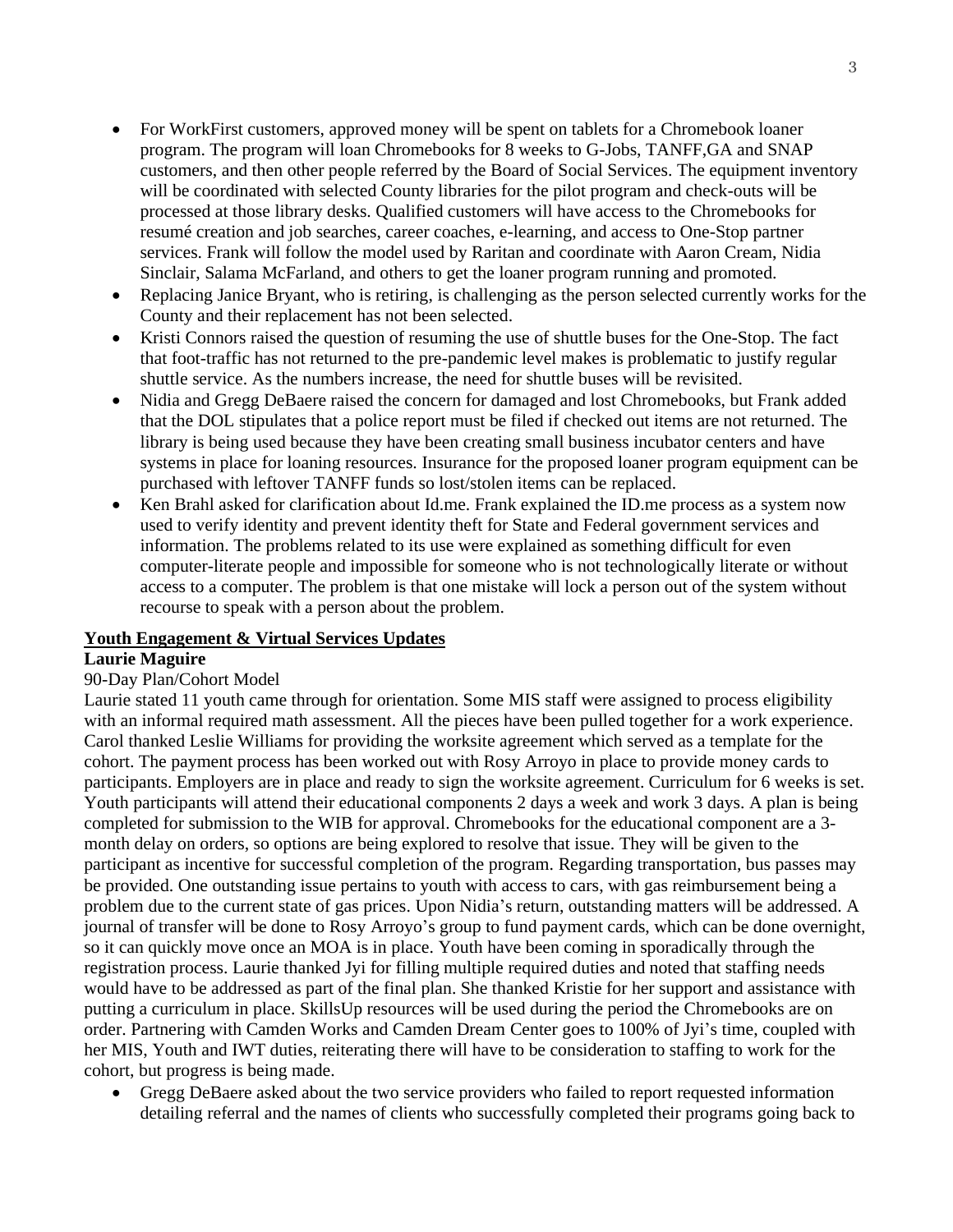- For WorkFirst customers, approved money will be spent on tablets for a Chromebook loaner program. The program will loan Chromebooks for 8 weeks to G-Jobs, TANFF,GA and SNAP customers, and then other people referred by the Board of Social Services. The equipment inventory will be coordinated with selected County libraries for the pilot program and check-outs will be processed at those library desks. Qualified customers will have access to the Chromebooks for resumé creation and job searches, career coaches, e-learning, and access to One-Stop partner services. Frank will follow the model used by Raritan and coordinate with Aaron Cream, Nidia Sinclair, Salama McFarland, and others to get the loaner program running and promoted.
- Replacing Janice Bryant, who is retiring, is challenging as the person selected currently works for the County and their replacement has not been selected.
- Kristi Connors raised the question of resuming the use of shuttle buses for the One-Stop. The fact that foot-traffic has not returned to the pre-pandemic level makes is problematic to justify regular shuttle service. As the numbers increase, the need for shuttle buses will be revisited.
- Nidia and Gregg DeBaere raised the concern for damaged and lost Chromebooks, but Frank added that the DOL stipulates that a police report must be filed if checked out items are not returned. The library is being used because they have been creating small business incubator centers and have systems in place for loaning resources. Insurance for the proposed loaner program equipment can be purchased with leftover TANFF funds so lost/stolen items can be replaced.
- Ken Brahl asked for clarification about Id.me. Frank explained the ID.me process as a system now used to verify identity and prevent identity theft for State and Federal government services and information. The problems related to its use were explained as something difficult for even computer-literate people and impossible for someone who is not technologically literate or without access to a computer. The problem is that one mistake will lock a person out of the system without recourse to speak with a person about the problem.

# **Youth Engagement & Virtual Services Updates**

# **Laurie Maguire**

# 90-Day Plan/Cohort Model

Laurie stated 11 youth came through for orientation. Some MIS staff were assigned to process eligibility with an informal required math assessment. All the pieces have been pulled together for a work experience. Carol thanked Leslie Williams for providing the worksite agreement which served as a template for the cohort. The payment process has been worked out with Rosy Arroyo in place to provide money cards to participants. Employers are in place and ready to sign the worksite agreement. Curriculum for 6 weeks is set. Youth participants will attend their educational components 2 days a week and work 3 days. A plan is being completed for submission to the WIB for approval. Chromebooks for the educational component are a 3 month delay on orders, so options are being explored to resolve that issue. They will be given to the participant as incentive for successful completion of the program. Regarding transportation, bus passes may be provided. One outstanding issue pertains to youth with access to cars, with gas reimbursement being a problem due to the current state of gas prices. Upon Nidia's return, outstanding matters will be addressed. A journal of transfer will be done to Rosy Arroyo's group to fund payment cards, which can be done overnight, so it can quickly move once an MOA is in place. Youth have been coming in sporadically through the registration process. Laurie thanked Jyi for filling multiple required duties and noted that staffing needs would have to be addressed as part of the final plan. She thanked Kristie for her support and assistance with putting a curriculum in place. SkillsUp resources will be used during the period the Chromebooks are on order. Partnering with Camden Works and Camden Dream Center goes to 100% of Jyi's time, coupled with her MIS, Youth and IWT duties, reiterating there will have to be consideration to staffing to work for the cohort, but progress is being made.

• Gregg DeBaere asked about the two service providers who failed to report requested information detailing referral and the names of clients who successfully completed their programs going back to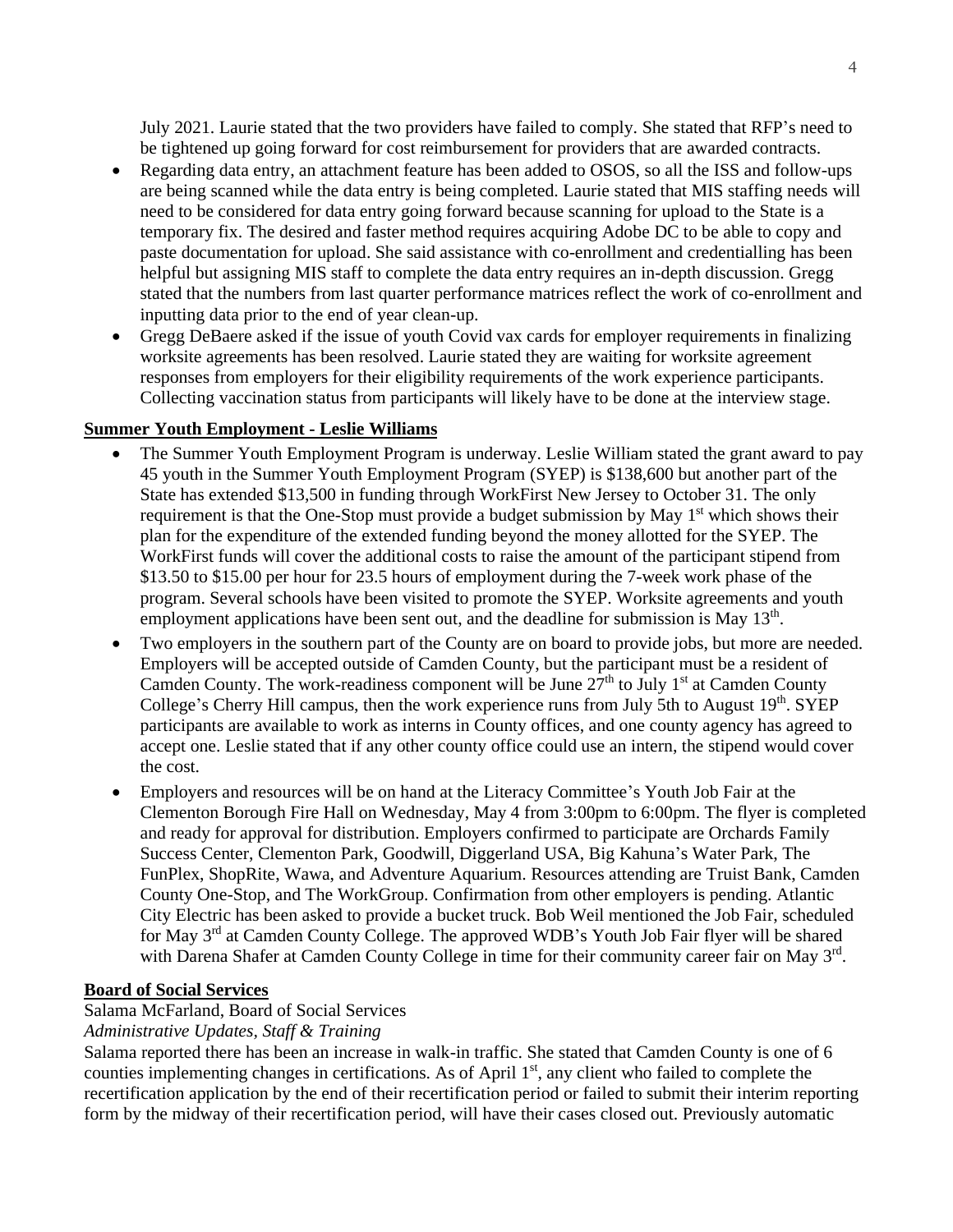July 2021. Laurie stated that the two providers have failed to comply. She stated that RFP's need to be tightened up going forward for cost reimbursement for providers that are awarded contracts.

- Regarding data entry, an attachment feature has been added to OSOS, so all the ISS and follow-ups are being scanned while the data entry is being completed. Laurie stated that MIS staffing needs will need to be considered for data entry going forward because scanning for upload to the State is a temporary fix. The desired and faster method requires acquiring Adobe DC to be able to copy and paste documentation for upload. She said assistance with co-enrollment and credentialling has been helpful but assigning MIS staff to complete the data entry requires an in-depth discussion. Gregg stated that the numbers from last quarter performance matrices reflect the work of co-enrollment and inputting data prior to the end of year clean-up.
- Gregg DeBaere asked if the issue of youth Covid vax cards for employer requirements in finalizing worksite agreements has been resolved. Laurie stated they are waiting for worksite agreement responses from employers for their eligibility requirements of the work experience participants. Collecting vaccination status from participants will likely have to be done at the interview stage.

#### **Summer Youth Employment - Leslie Williams**

- The Summer Youth Employment Program is underway. Leslie William stated the grant award to pay 45 youth in the Summer Youth Employment Program (SYEP) is \$138,600 but another part of the State has extended \$13,500 in funding through WorkFirst New Jersey to October 31. The only requirement is that the One-Stop must provide a budget submission by May  $1<sup>st</sup>$  which shows their plan for the expenditure of the extended funding beyond the money allotted for the SYEP. The WorkFirst funds will cover the additional costs to raise the amount of the participant stipend from \$13.50 to \$15.00 per hour for 23.5 hours of employment during the 7-week work phase of the program. Several schools have been visited to promote the SYEP. Worksite agreements and youth employment applications have been sent out, and the deadline for submission is May  $13<sup>th</sup>$ .
- Two employers in the southern part of the County are on board to provide jobs, but more are needed. Employers will be accepted outside of Camden County, but the participant must be a resident of Camden County. The work-readiness component will be June  $27<sup>th</sup>$  to July 1<sup>st</sup> at Camden County College's Cherry Hill campus, then the work experience runs from July 5th to August 19<sup>th</sup>. SYEP participants are available to work as interns in County offices, and one county agency has agreed to accept one. Leslie stated that if any other county office could use an intern, the stipend would cover the cost.
- Employers and resources will be on hand at the Literacy Committee's Youth Job Fair at the Clementon Borough Fire Hall on Wednesday, May 4 from 3:00pm to 6:00pm. The flyer is completed and ready for approval for distribution. Employers confirmed to participate are Orchards Family Success Center, Clementon Park, Goodwill, Diggerland USA, Big Kahuna's Water Park, The FunPlex, ShopRite, Wawa, and Adventure Aquarium. Resources attending are Truist Bank, Camden County One-Stop, and The WorkGroup. Confirmation from other employers is pending. Atlantic City Electric has been asked to provide a bucket truck. Bob Weil mentioned the Job Fair, scheduled for May 3<sup>rd</sup> at Camden County College. The approved WDB's Youth Job Fair flyer will be shared with Darena Shafer at Camden County College in time for their community career fair on May 3<sup>rd</sup>.

# **Board of Social Services**

#### Salama McFarland, Board of Social Services

# *Administrative Updates, Staff & Training*

Salama reported there has been an increase in walk-in traffic. She stated that Camden County is one of 6 counties implementing changes in certifications. As of April 1<sup>st</sup>, any client who failed to complete the recertification application by the end of their recertification period or failed to submit their interim reporting form by the midway of their recertification period, will have their cases closed out. Previously automatic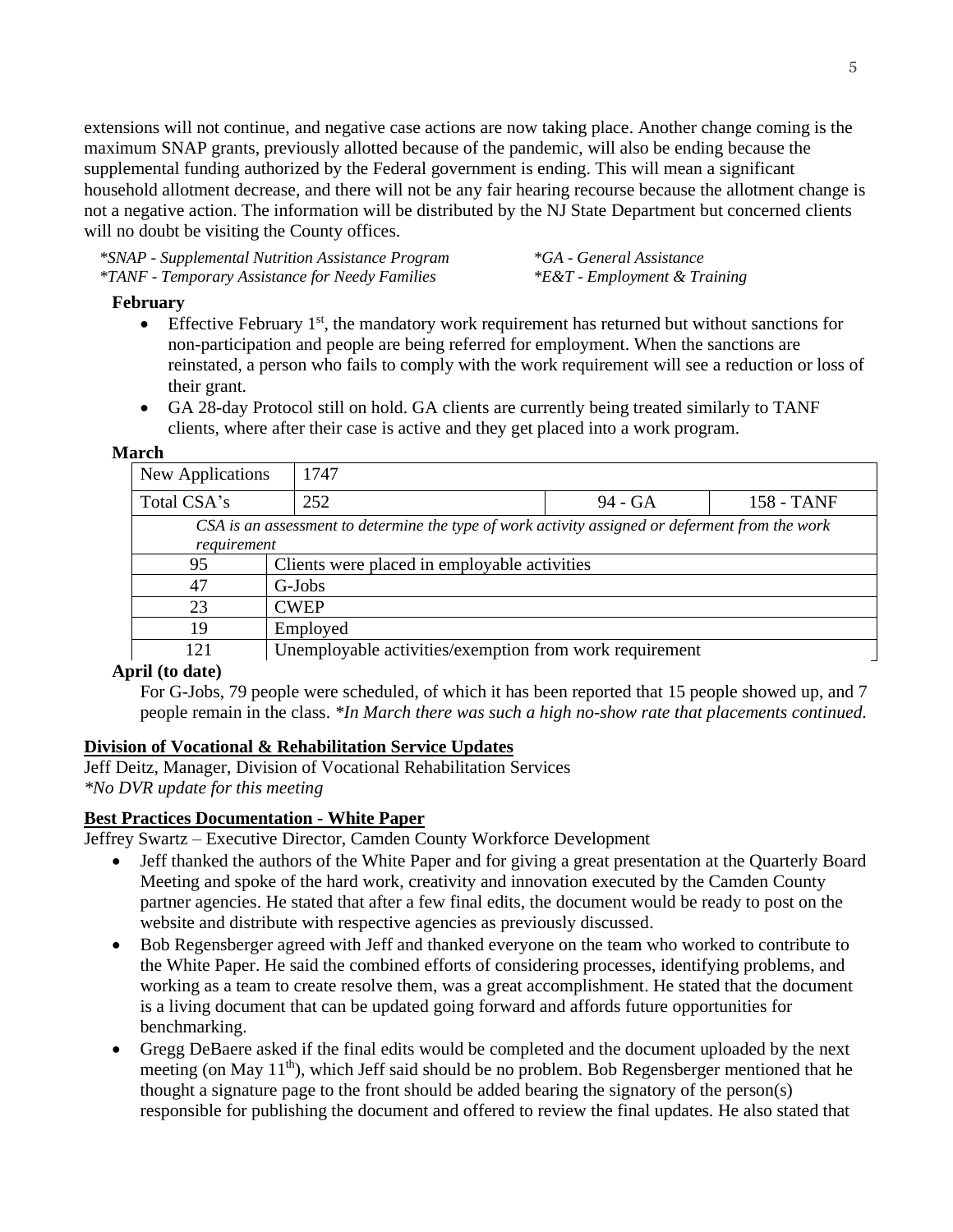extensions will not continue, and negative case actions are now taking place. Another change coming is the maximum SNAP grants, previously allotted because of the pandemic, will also be ending because the supplemental funding authorized by the Federal government is ending. This will mean a significant household allotment decrease, and there will not be any fair hearing recourse because the allotment change is not a negative action. The information will be distributed by the NJ State Department but concerned clients will no doubt be visiting the County offices.

*\*SNAP - Supplemental Nutrition Assistance Program \*GA - General Assistance \*TANF - Temporary Assistance for Needy Families \*E&T - Employment & Training*

### **February**

- Effective February  $1<sup>st</sup>$ , the mandatory work requirement has returned but without sanctions for non-participation and people are being referred for employment. When the sanctions are reinstated, a person who fails to comply with the work requirement will see a reduction or loss of their grant.
- GA 28-day Protocol still on hold. GA clients are currently being treated similarly to TANF clients, where after their case is active and they get placed into a work program.

#### **March**

| New Applications                                                                                               | 1747                                                    |  |                   |  |  |
|----------------------------------------------------------------------------------------------------------------|---------------------------------------------------------|--|-------------------|--|--|
| Total CSA's                                                                                                    | 252<br>94 - GA                                          |  | <b>158 - TANF</b> |  |  |
| CSA is an assessment to determine the type of work activity assigned or deferment from the work<br>requirement |                                                         |  |                   |  |  |
| 95                                                                                                             | Clients were placed in employable activities            |  |                   |  |  |
| 47                                                                                                             | G-Jobs                                                  |  |                   |  |  |
| 23                                                                                                             | <b>CWEP</b>                                             |  |                   |  |  |
| 19                                                                                                             | Employed                                                |  |                   |  |  |
| 121                                                                                                            | Unemployable activities/exemption from work requirement |  |                   |  |  |

# **April (to date)**

For G-Jobs, 79 people were scheduled, of which it has been reported that 15 people showed up, and 7 people remain in the class. *\*In March there was such a high no-show rate that placements continued.*

# **Division of Vocational & Rehabilitation Service Updates**

Jeff Deitz, Manager, Division of Vocational Rehabilitation Services *\*No DVR update for this meeting*

# **Best Practices Documentation - White Paper**

Jeffrey Swartz – Executive Director, Camden County Workforce Development

- Jeff thanked the authors of the White Paper and for giving a great presentation at the Quarterly Board Meeting and spoke of the hard work, creativity and innovation executed by the Camden County partner agencies. He stated that after a few final edits, the document would be ready to post on the website and distribute with respective agencies as previously discussed.
- Bob Regensberger agreed with Jeff and thanked everyone on the team who worked to contribute to the White Paper. He said the combined efforts of considering processes, identifying problems, and working as a team to create resolve them, was a great accomplishment. He stated that the document is a living document that can be updated going forward and affords future opportunities for benchmarking.
- Gregg DeBaere asked if the final edits would be completed and the document uploaded by the next meeting (on May 11<sup>th</sup>), which Jeff said should be no problem. Bob Regensberger mentioned that he thought a signature page to the front should be added bearing the signatory of the person(s) responsible for publishing the document and offered to review the final updates. He also stated that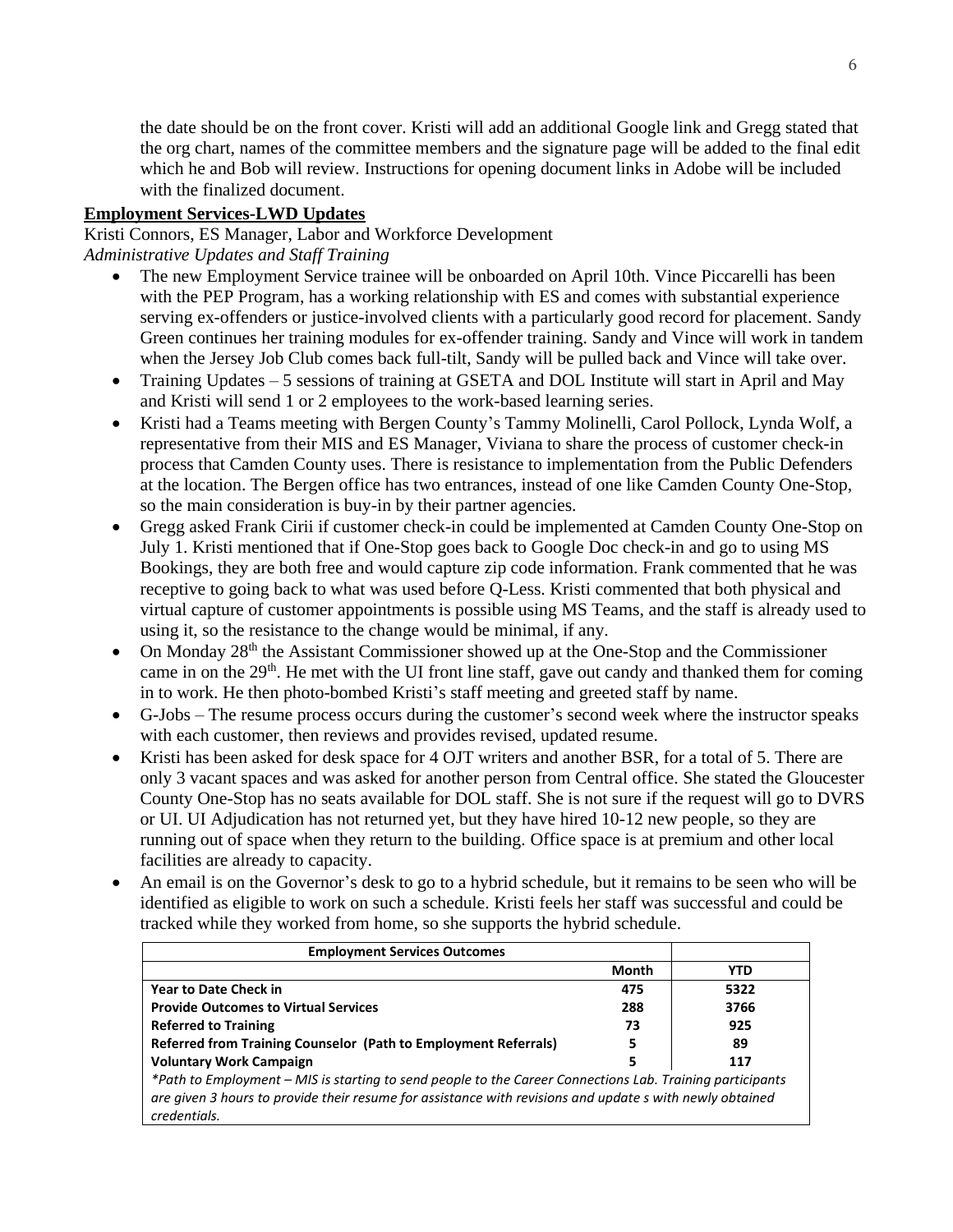the date should be on the front cover. Kristi will add an additional Google link and Gregg stated that the org chart, names of the committee members and the signature page will be added to the final edit which he and Bob will review. Instructions for opening document links in Adobe will be included with the finalized document.

# **Employment Services-LWD Updates**

Kristi Connors, ES Manager, Labor and Workforce Development *Administrative Updates and Staff Training*

- The new Employment Service trainee will be onboarded on April 10th. Vince Piccarelli has been with the PEP Program, has a working relationship with ES and comes with substantial experience serving ex-offenders or justice-involved clients with a particularly good record for placement. Sandy Green continues her training modules for ex-offender training. Sandy and Vince will work in tandem when the Jersey Job Club comes back full-tilt, Sandy will be pulled back and Vince will take over.
- Training Updates 5 sessions of training at GSETA and DOL Institute will start in April and May and Kristi will send 1 or 2 employees to the work-based learning series.
- Kristi had a Teams meeting with Bergen County's Tammy Molinelli, Carol Pollock, Lynda Wolf, a representative from their MIS and ES Manager, Viviana to share the process of customer check-in process that Camden County uses. There is resistance to implementation from the Public Defenders at the location. The Bergen office has two entrances, instead of one like Camden County One-Stop, so the main consideration is buy-in by their partner agencies.
- Gregg asked Frank Cirii if customer check-in could be implemented at Camden County One-Stop on July 1. Kristi mentioned that if One-Stop goes back to Google Doc check-in and go to using MS Bookings, they are both free and would capture zip code information. Frank commented that he was receptive to going back to what was used before Q-Less. Kristi commented that both physical and virtual capture of customer appointments is possible using MS Teams, and the staff is already used to using it, so the resistance to the change would be minimal, if any.
- On Monday 28<sup>th</sup> the Assistant Commissioner showed up at the One-Stop and the Commissioner came in on the  $29<sup>th</sup>$ . He met with the UI front line staff, gave out candy and thanked them for coming in to work. He then photo-bombed Kristi's staff meeting and greeted staff by name.
- G-Jobs The resume process occurs during the customer's second week where the instructor speaks with each customer, then reviews and provides revised, updated resume.
- Kristi has been asked for desk space for 4 OJT writers and another BSR, for a total of 5. There are only 3 vacant spaces and was asked for another person from Central office. She stated the Gloucester County One-Stop has no seats available for DOL staff. She is not sure if the request will go to DVRS or UI. UI Adjudication has not returned yet, but they have hired 10-12 new people, so they are running out of space when they return to the building. Office space is at premium and other local facilities are already to capacity.
- An email is on the Governor's desk to go to a hybrid schedule, but it remains to be seen who will be identified as eligible to work on such a schedule. Kristi feels her staff was successful and could be tracked while they worked from home, so she supports the hybrid schedule.

| <b>Employment Services Outcomes</b>                                                                                                                                                                                                   |              |            |  |  |  |
|---------------------------------------------------------------------------------------------------------------------------------------------------------------------------------------------------------------------------------------|--------------|------------|--|--|--|
|                                                                                                                                                                                                                                       | <b>Month</b> | <b>YTD</b> |  |  |  |
| <b>Year to Date Check in</b>                                                                                                                                                                                                          | 475          | 5322       |  |  |  |
| <b>Provide Outcomes to Virtual Services</b>                                                                                                                                                                                           | 288          | 3766       |  |  |  |
| <b>Referred to Training</b>                                                                                                                                                                                                           | 73           | 925        |  |  |  |
| Referred from Training Counselor (Path to Employment Referrals)                                                                                                                                                                       | 5            | 89         |  |  |  |
| <b>Voluntary Work Campaign</b>                                                                                                                                                                                                        | 5            | 117        |  |  |  |
| *Path to Employment – MIS is starting to send people to the Career Connections Lab. Training participants<br>are given 3 hours to provide their resume for assistance with revisions and update s with newly obtained<br>credentials. |              |            |  |  |  |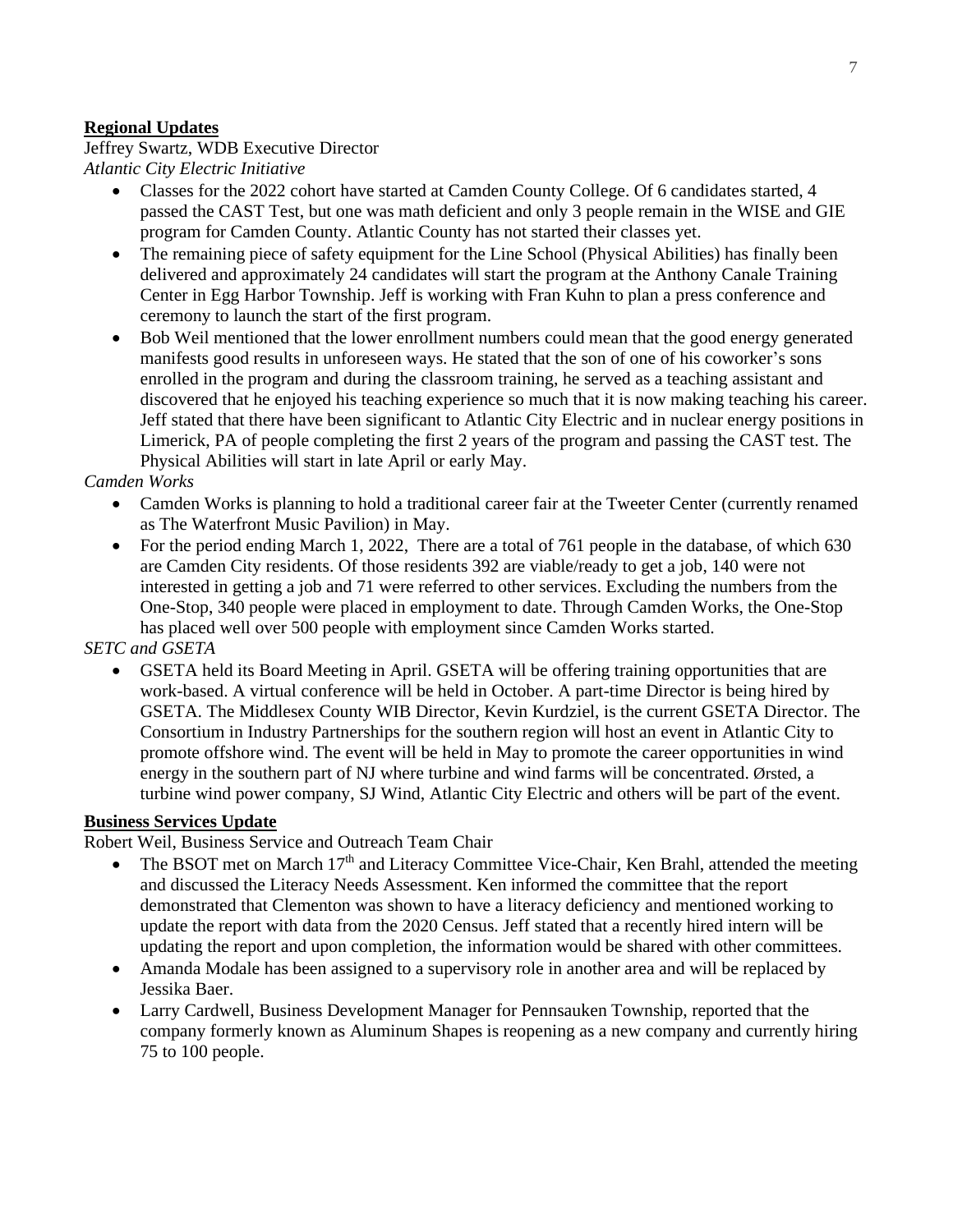# **Regional Updates**

# Jeffrey Swartz, WDB Executive Director *Atlantic City Electric Initiative*

- Classes for the 2022 cohort have started at Camden County College. Of 6 candidates started, 4 passed the CAST Test, but one was math deficient and only 3 people remain in the WISE and GIE program for Camden County. Atlantic County has not started their classes yet.
- The remaining piece of safety equipment for the Line School (Physical Abilities) has finally been delivered and approximately 24 candidates will start the program at the Anthony Canale Training Center in Egg Harbor Township. Jeff is working with Fran Kuhn to plan a press conference and ceremony to launch the start of the first program.
- Bob Weil mentioned that the lower enrollment numbers could mean that the good energy generated manifests good results in unforeseen ways. He stated that the son of one of his coworker's sons enrolled in the program and during the classroom training, he served as a teaching assistant and discovered that he enjoyed his teaching experience so much that it is now making teaching his career. Jeff stated that there have been significant to Atlantic City Electric and in nuclear energy positions in Limerick, PA of people completing the first 2 years of the program and passing the CAST test. The Physical Abilities will start in late April or early May.

# *Camden Works*

- Camden Works is planning to hold a traditional career fair at the Tweeter Center (currently renamed as The Waterfront Music Pavilion) in May.
- For the period ending March 1, 2022, There are a total of 761 people in the database, of which 630 are Camden City residents. Of those residents 392 are viable/ready to get a job, 140 were not interested in getting a job and 71 were referred to other services. Excluding the numbers from the One-Stop, 340 people were placed in employment to date. Through Camden Works, the One-Stop has placed well over 500 people with employment since Camden Works started.

# *SETC and GSETA*

• GSETA held its Board Meeting in April. GSETA will be offering training opportunities that are work-based. A virtual conference will be held in October. A part-time Director is being hired by GSETA. The Middlesex County WIB Director, Kevin Kurdziel, is the current GSETA Director. The Consortium in Industry Partnerships for the southern region will host an event in Atlantic City to promote offshore wind. The event will be held in May to promote the career opportunities in wind energy in the southern part of NJ where turbine and wind farms will be concentrated. Ørsted, a turbine wind power company, SJ Wind, Atlantic City Electric and others will be part of the event.

# **Business Services Update**

Robert Weil, Business Service and Outreach Team Chair

- The BSOT met on March 17<sup>th</sup> and Literacy Committee Vice-Chair, Ken Brahl, attended the meeting and discussed the Literacy Needs Assessment. Ken informed the committee that the report demonstrated that Clementon was shown to have a literacy deficiency and mentioned working to update the report with data from the 2020 Census. Jeff stated that a recently hired intern will be updating the report and upon completion, the information would be shared with other committees.
- Amanda Modale has been assigned to a supervisory role in another area and will be replaced by Jessika Baer.
- Larry Cardwell, Business Development Manager for Pennsauken Township, reported that the company formerly known as Aluminum Shapes is reopening as a new company and currently hiring 75 to 100 people.